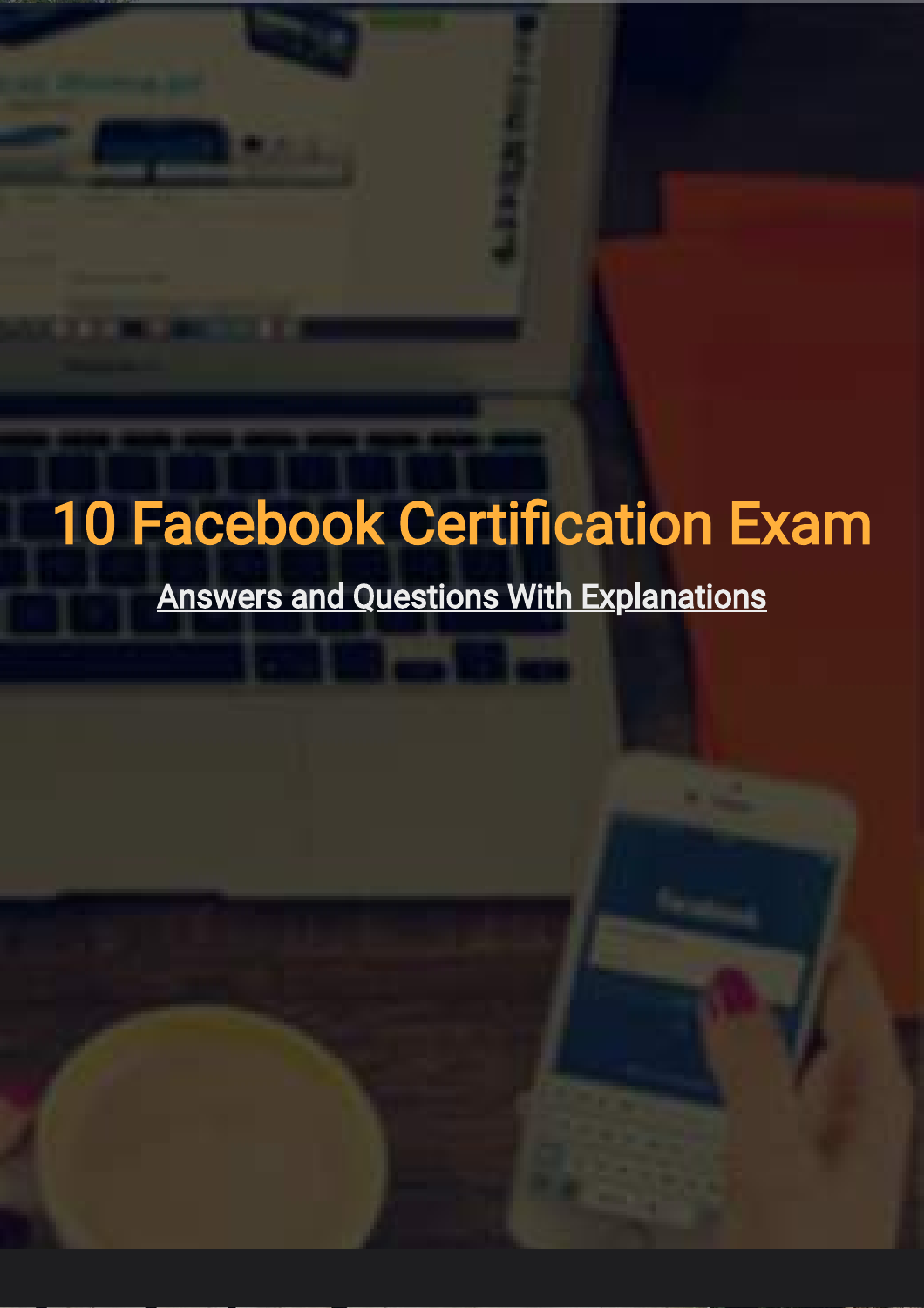# 10 Facebook Certification Exam

Answers and Questions With Explanations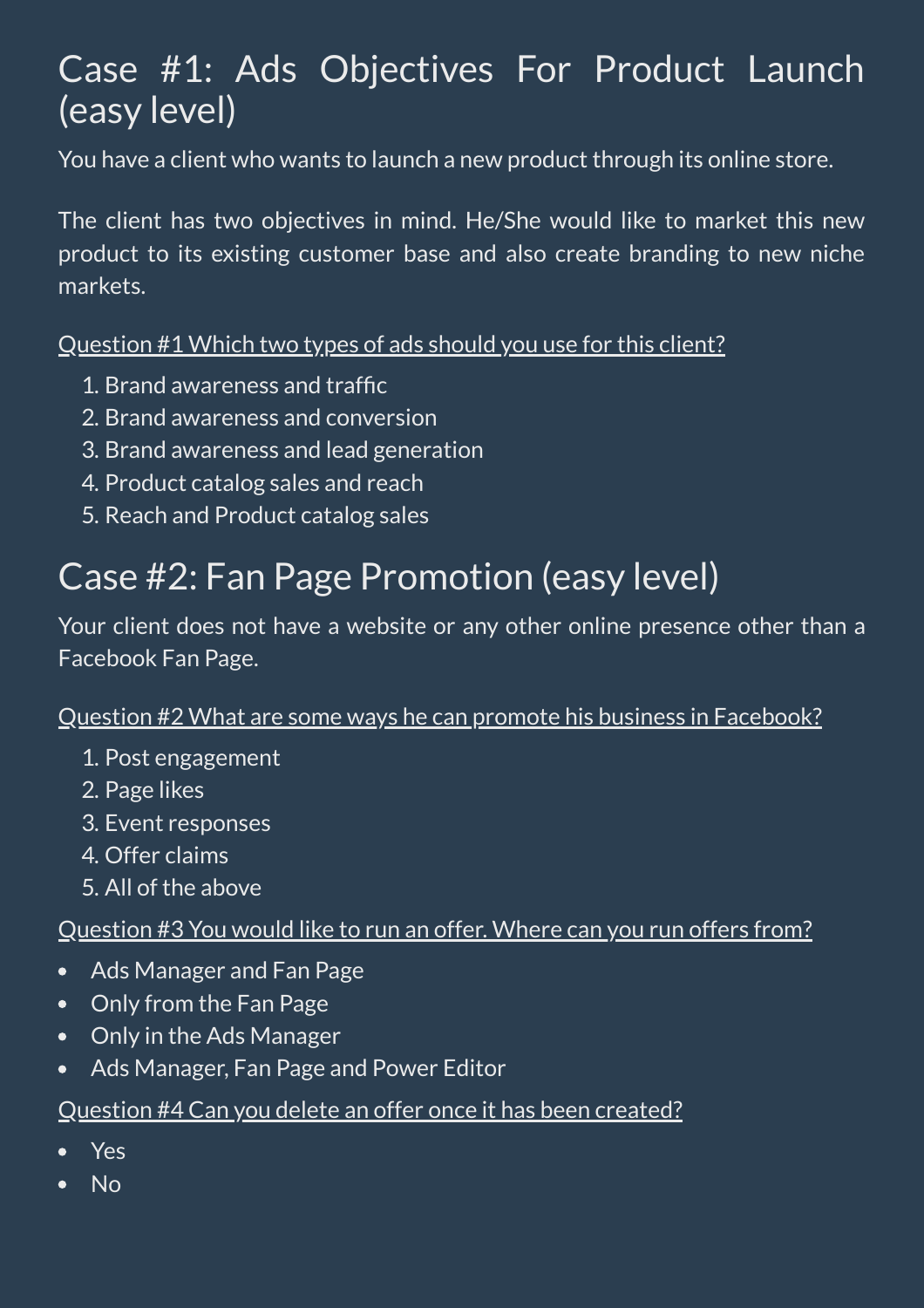### Case #1: Ads Objectives For Product Launch (easy level)

You have a client who wants to launch a new product through its online store.

The client has two objectives in mind. He/She would like to market this new product to its existing customer base and also create branding to new niche markets.

Question #1 Which two types of ads should you use for this client?

- 1. Brand awareness and traffic
- 2. Brand awareness and conversion
- 3. Brand awareness and lead generation
- 4. Product catalog sales and reach
- 5. Reach and Product catalog sales

### Case #2: Fan Page Promotion (easy level)

Your client does not have a website or any other online presence other than a Facebook Fan Page.

#### Question #2 What are some ways he can promote his business in Facebook?

- 1. Post engagement
- 2. Page likes
- 3. Event responses
- 4. Offer claims
- 5. All of the above

#### Question #3 You would like to run an offer. Where can you run offers from?

- Ads Manager and Fan Page  $\bullet$
- Only from the Fan Page  $\bullet$
- Only in the Ads Manager  $\bullet$
- Ads Manager, Fan Page and Power Editor  $\bullet$

#### Question #4 Can you delete an offer once it has been created?

- Yes
- No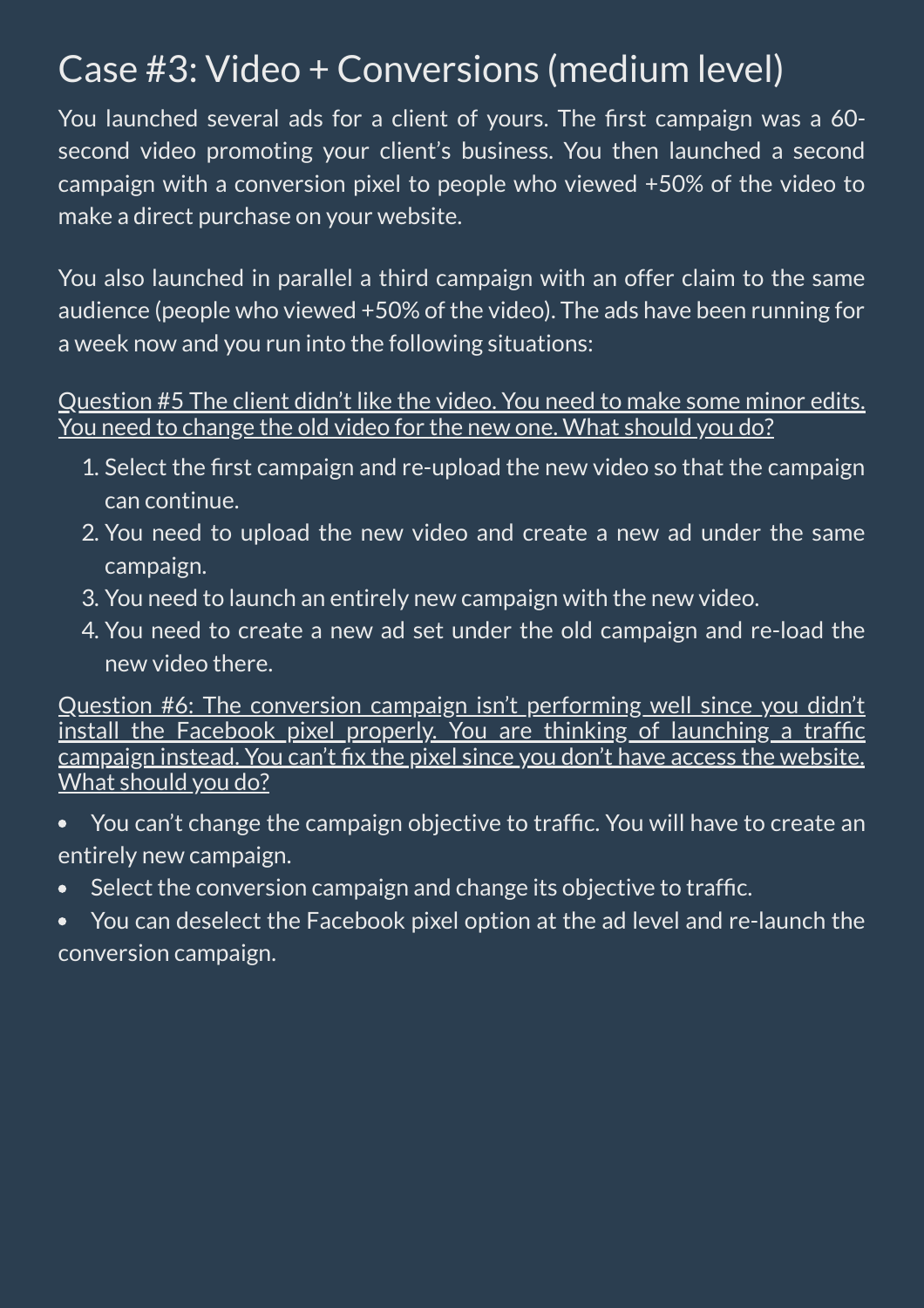### Case #3: Video + Conversions (medium level)

You launched several ads for a client of yours. The first campaign was a 60second video promoting your client's business. You then launched a second campaign with a conversion pixel to people who viewed +50% of the video to make a direct purchase on your website.

You also launched in parallel a third campaign with an offer claim to the same audience (people who viewed +50% of the video). The ads have been running for a week now and you run into the following situations:

#### Question #5 The client didn't like the video. You need to make some minor edits. You need to change the old video for the new one. What should you do?

- 1. Select the first campaign and re-upload the new video so that the campaign can continue.
- 2. You need to upload the new video and create a new ad under the same campaign.
- 3. You need to launch an entirely new campaign with the new video.
- 4. You need to create a new ad set under the old campaign and re-load the new video there.

Question #6: The conversion campaign isn't performing well since you didn't install the Facebook pixel properly. You are thinking of launching a traffic campaign instead. You can't fix the pixel since you don't have access the website. What should you do?

- You can't change the campaign objective to traffic. You will have to create an entirely new campaign.
- Select the conversion campaign and change its objective to traffic.  $\bullet$
- You can deselect the Facebook pixel option at the ad level and re-launch the  $\bullet$ conversion campaign.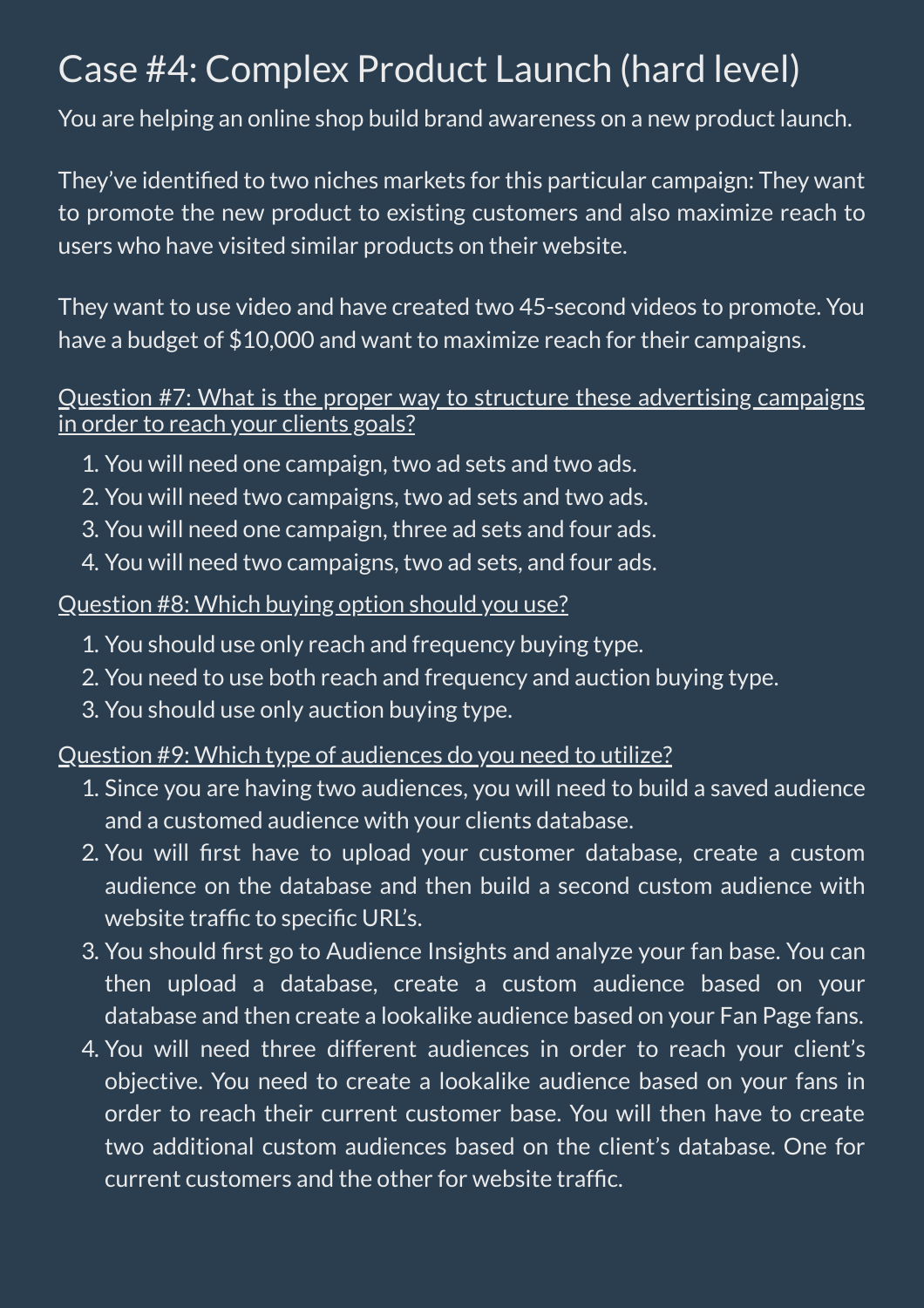### Case #4: Complex Product Launch (hard level)

You are helping an online shop build brand awareness on a new product launch.

They've identified to two niches markets for this particular campaign: They want to promote the new product to existing customers and also maximize reach to users who have visited similar products on their website.

They want to use video and have created two 45-second videos to promote. You have a budget of \$10,000 and want to maximize reach for their campaigns.

#### Question #7: What is the proper way to structure these advertising campaigns in order to reach your clients goals?

- 1. You will need one campaign, two ad sets and two ads.
- 2. You will need two campaigns, two ad sets and two ads.
- 3. You will need one campaign, three ad sets and four ads.
- 4. You will need two campaigns, two ad sets, and four ads.

#### Question #8: Which buying option should you use?

- 1. You should use only reach and frequency buying type.
- 2. You need to use both reach and frequency and auction buying type.
- 3. You should use only auction buying type.

#### Question #9: Which type of audiences do you need to utilize?

- 1. Since you are having two audiences, you will need to build a saved audience and a customed audience with your clients database.
- 2. You will first have to upload your customer database, create a custom audience on the database and then build a second custom audience with website traffic to specific URL's.
- 3. You should first go to Audience Insights and analyze your fan base. You can then upload a database, create a custom audience based on your database and then create a lookalike audience based on your Fan Page fans.
- 4. You will need three different audiences in order to reach your client's objective. You need to create a lookalike audience based on your fans in order to reach their current customer base. You will then have to create two additional custom audiences based on the client's database. One for current customers and the other for website trafc.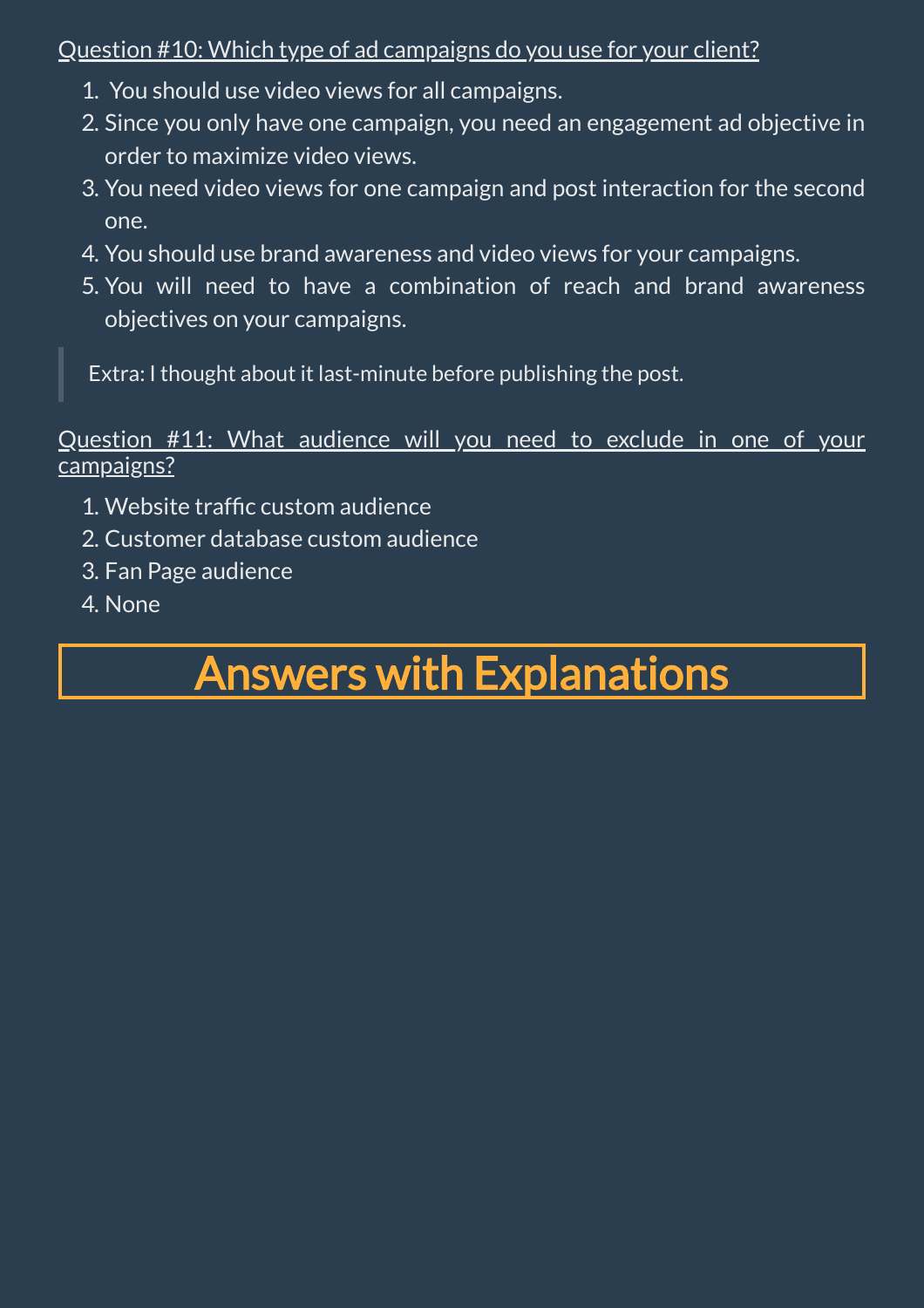#### Question #10: Which type of ad campaigns do you use for your client?

- 1. You should use video views for all campaigns.
- 2. Since you only have one campaign, you need an engagement ad objective in order to maximize video views.
- 3. You need video views for one campaign and post interaction for the second one.
- 4. You should use brand awareness and video views for your campaigns.
- 5. You will need to have a combination of reach and brand awareness objectives on your campaigns.

Extra: I thought about it last-minute before publishing the post.

Question #11: What audience will you need to exclude in one of your campaigns?

- 1. Website traffic custom audience
- 2. Customer database custom audience
- 3. Fan Page audience
- 4. None

## Answers with Explanations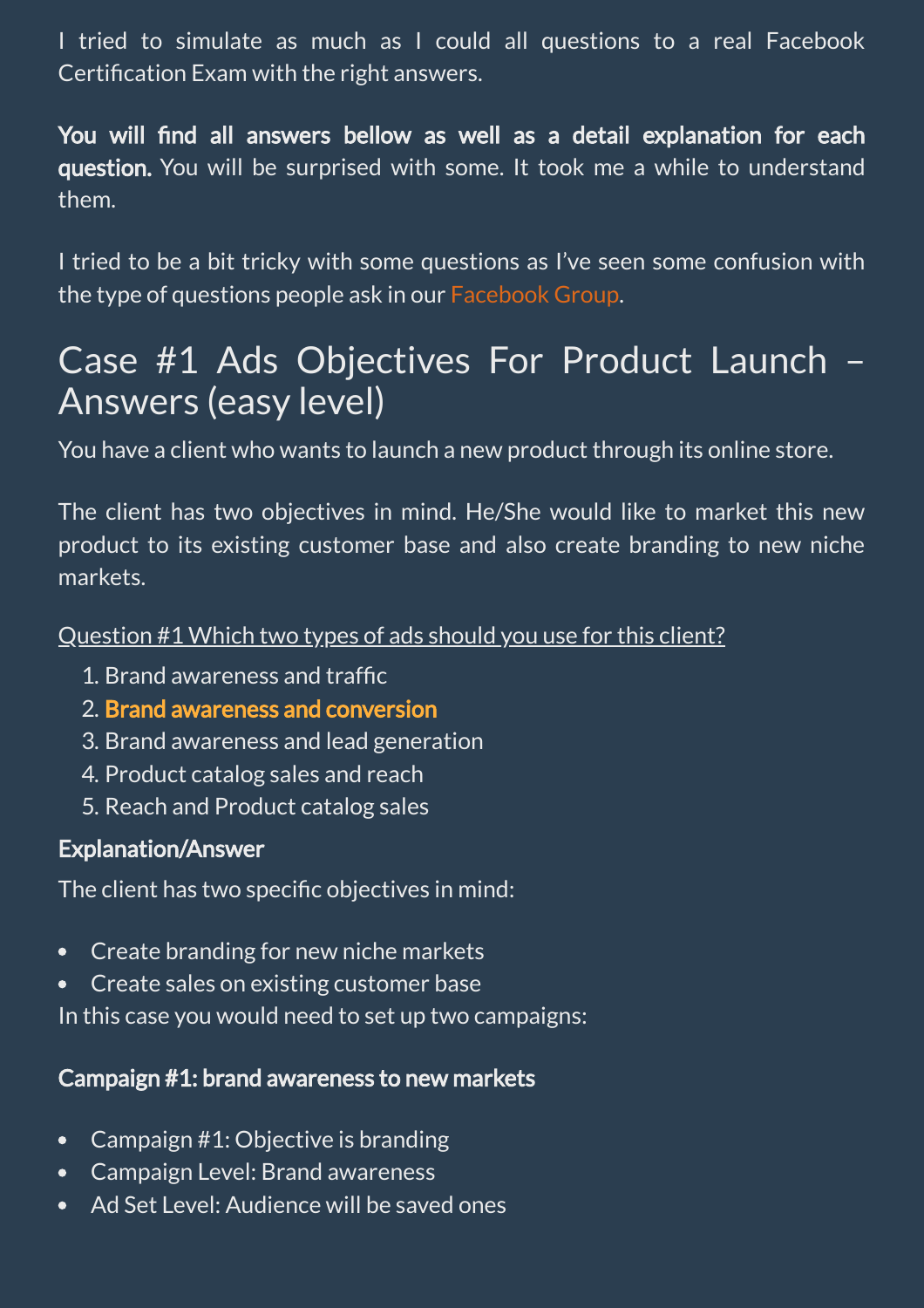I tried to simulate as much as I could all questions to a real Facebook Certification Exam with the right answers.

You will find all answers bellow as well as a detail explanation for each question. You will be surprised with some. It took me a while to understand them.

I tried to be a bit tricky with some questions as I've seen some confusion with the type of questions people ask in our [Facebook](https://www.facebook.com/groups/1230029890426612/) Group.

### Case #1 Ads Objectives For Product Launch – Answers (easy level)

You have a client who wants to launch a new product through its online store.

The client has two objectives in mind. He/She would like to market this new product to its existing customer base and also create branding to new niche markets.

#### Question #1 Which two types of ads should you use for this client?

- 1. Brand awareness and traffic
- 2. Brand awareness and conversion
- 3. Brand awareness and lead generation
- 4. Product catalog sales and reach
- 5. Reach and Product catalog sales

#### Explanation/Answer

The client has two specific objectives in mind:

- Create branding for new niche markets
- Create sales on existing customer base  $\bullet$

In this case you would need to set up two campaigns:

#### Campaign #1: brand awareness to new markets

- Campaign #1: Objective is branding  $\bullet$
- Campaign Level: Brand awareness  $\bullet$
- Ad Set Level: Audience will be saved ones $\bullet$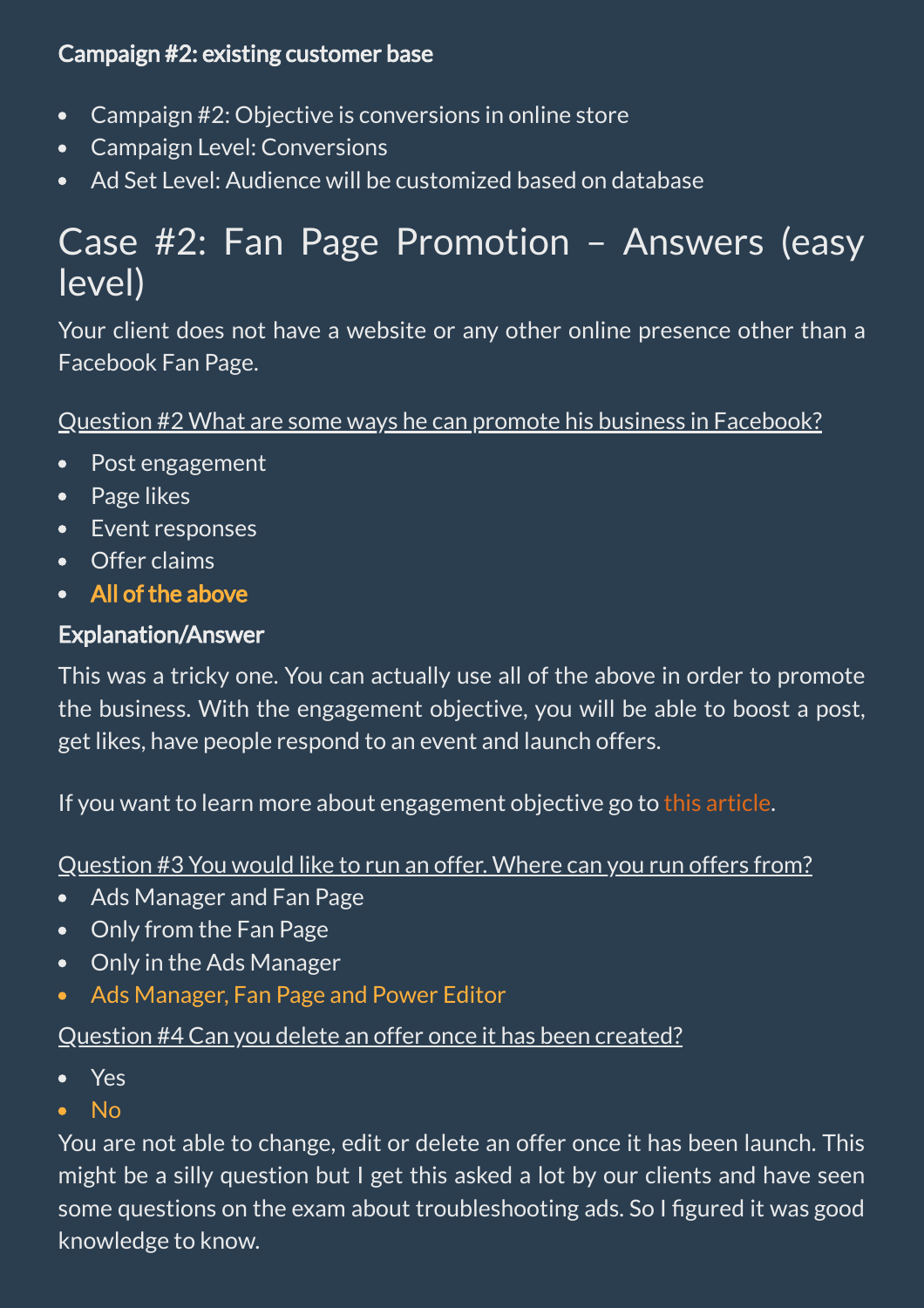#### Campaign #2: existing customer base

- Campaign #2: Objective is conversions in online store  $\bullet$
- Campaign Level: Conversions
- Ad Set Level: Audience will be customized based on database  $\bullet$

### Case #2: Fan Page Promotion – Answers (easy level)

Your client does not have a website or any other online presence other than a Facebook Fan Page.

#### Question #2 What are some ways he can promote his business in Facebook?

- Post engagement  $\bullet$
- Page likes
- Event responses
- Offer claims
- All of the above  $\bullet$

#### Explanation/Answer

This was a tricky one. You can actually use all of the above in order to promote the business. With the engagement objective, you will be able to boost a post, get likes, have people respond to an event and launch offers.

If you want to learn more about engagement objective go to this [article](https://www.facebook.com/business/help/666398006849003?helpref=faq_content).

#### Question #3 You would like to run an offer. Where can you run offers from?

- Ads Manager and Fan Page  $\bullet$
- Only from the Fan Page  $\bullet$
- Only in the Ads Manager  $\bullet$
- Ads Manager, Fan Page and Power Editor  $\bullet$

#### Question #4 Can you delete an offer once it has been created?

- Yes  $\bullet$
- $\bullet$  No

You are not able to change, edit or delete an offer once it has been launch. This might be a silly question but I get this asked a lot by our clients and have seen some questions on the exam about troubleshooting ads. So I figured it was good knowledge to know.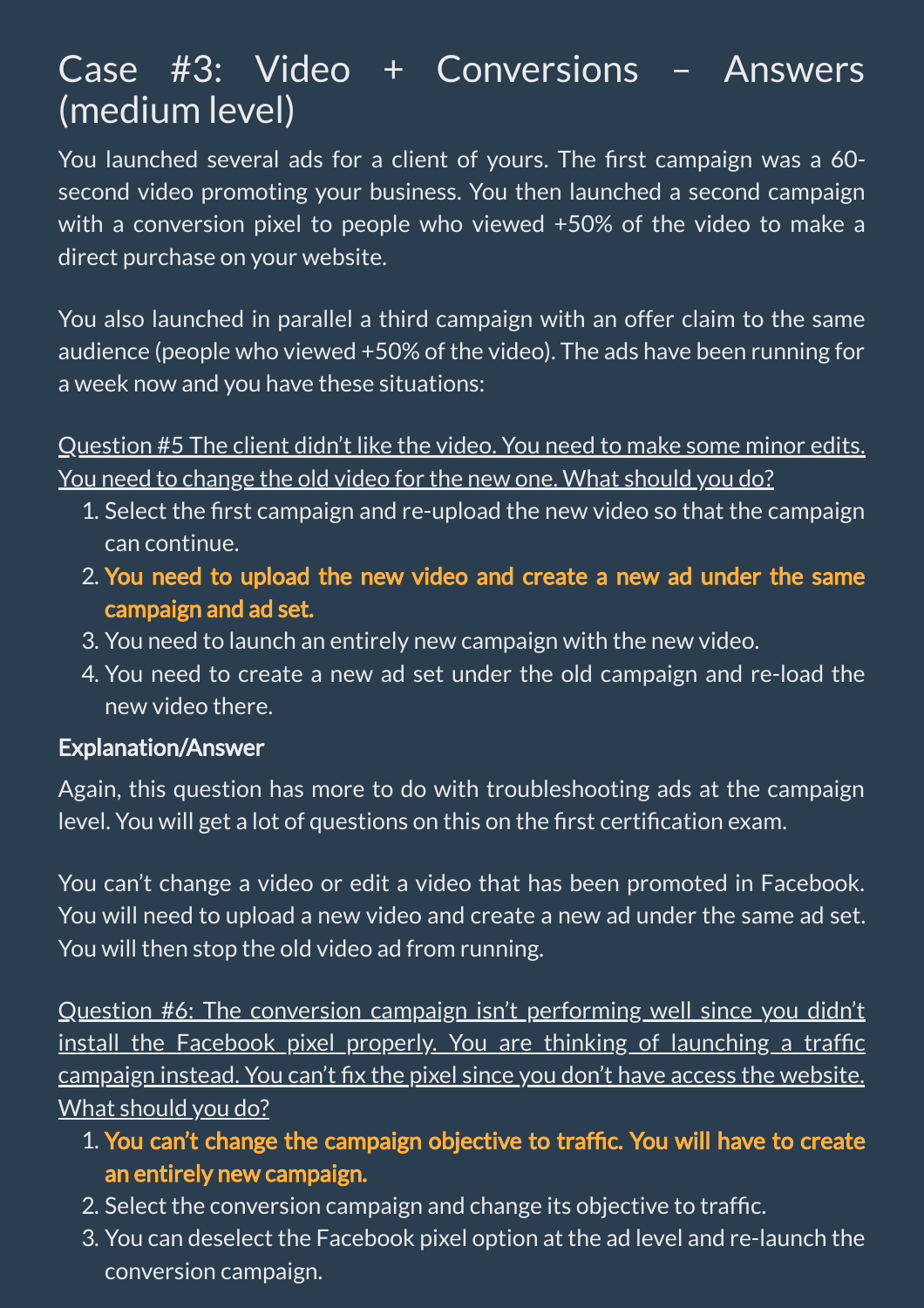### Case #3: Video + Conversions – Answers (medium level)

You launched several ads for a client of yours. The first campaign was a 60second video promoting your business. You then launched a second campaign with a conversion pixel to people who viewed +50% of the video to make a direct purchase on your website.

You also launched in parallel a third campaign with an offer claim to the same audience (people who viewed +50% of the video). The ads have been running for a week now and you have these situations:

Question #5 The client didn't like the video. You need to make some minor edits. You need to change the old video for the new one. What should you do?

- 1. Select the first campaign and re-upload the new video so that the campaign can continue.
- 2. You need to upload the new video and create a new ad under the same campaign and ad set.
- 3. You need to launch an entirely new campaign with the new video.
- 4. You need to create a new ad set under the old campaign and re-load the new video there.

#### Explanation/Answer

Again, this question has more to do with troubleshooting ads at the campaign level. You will get a lot of questions on this on the first certification exam.

You can't change a video or edit a video that has been promoted in Facebook. You will need to upload a new video and create a new ad under the same ad set. You will then stop the old video ad from running.

Question #6: The conversion campaign isn't performing well since you didn't install the Facebook pixel properly. You are thinking of launching a traffic campaign instead. You can't fix the pixel since you don't have access the website. What should you do?

- 1. You can't change the campaign objective to traffic. You will have to create an entirely new campaign.
- 2. Select the conversion campaign and change its objective to trafc.
- 3. You can deselect the Facebook pixel option at the ad level and re-launch the conversion campaign.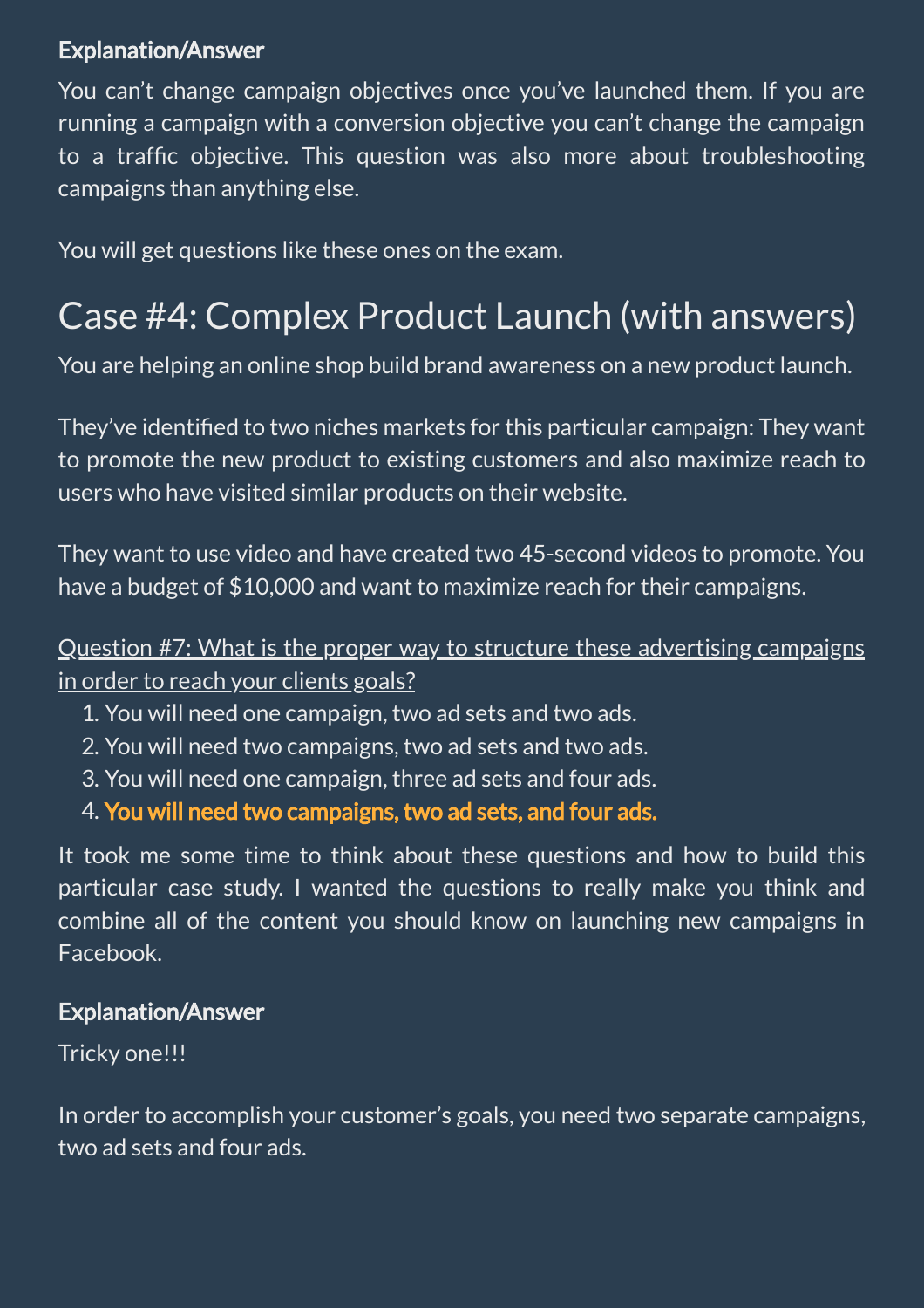#### Explanation/Answer

You can't change campaign objectives once you've launched them. If you are running a campaign with a conversion objective you can't change the campaign to a traffic objective. This question was also more about troubleshooting campaigns than anything else.

You will get questions like these ones on the exam.

### Case #4: Complex Product Launch (with answers)

You are helping an online shop build brand awareness on a new product launch.

They've identified to two niches markets for this particular campaign: They want to promote the new product to existing customers and also maximize reach to users who have visited similar products on their website.

They want to use video and have created two 45-second videos to promote. You have a budget of \$10,000 and want to maximize reach for their campaigns.

Question #7: What is the proper way to structure these advertising campaigns in order to reach your clients goals?

- 1. You will need one campaign, two ad sets and two ads.
- 2. You will need two campaigns, two ad sets and two ads.
- 3. You will need one campaign, three ad sets and four ads.
- 4. You will need two campaigns, two ad sets, and four ads.

It took me some time to think about these questions and how to build this particular case study. I wanted the questions to really make you think and combine all of the content you should know on launching new campaigns in Facebook.

#### Explanation/Answer

#### Tricky one!!!

In order to accomplish your customer's goals, you need two separate campaigns, two ad sets and four ads.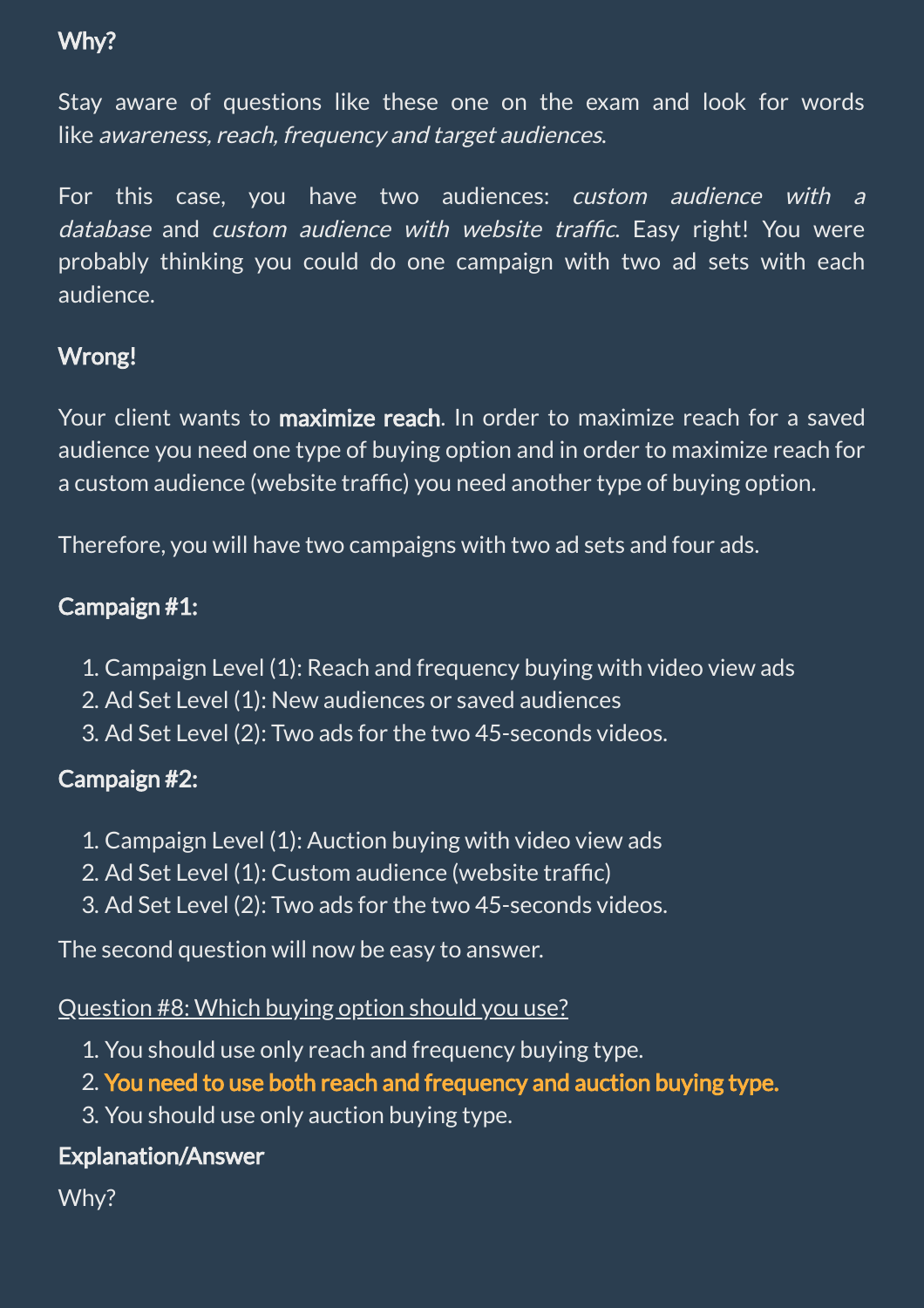#### Why?

Stay aware of questions like these one on the exam and look for words like awareness, reach, frequency and target audiences.

For this case, you have two audiences: custom audience with <sup>a</sup> database and custom audience with website traffic. Easy right! You were probably thinking you could do one campaign with two ad sets with each audience.

#### Wrong!

Your client wants to **maximize reach**. In order to maximize reach for a saved audience you need one type of buying option and in order to maximize reach for a custom audience (website traffic) you need another type of buying option.

Therefore, you will have two campaigns with two ad sets and four ads.

#### Campaign #1:

- 1. Campaign Level (1): Reach and frequency buying with video view ads
- 2. Ad Set Level (1): New audiences or saved audiences
- 3. Ad Set Level (2): Two ads for the two 45-seconds videos.

#### Campaign #2:

- 1. Campaign Level (1): Auction buying with video view ads
- 2. Ad Set Level (1): Custom audience (website traffic)
- 3. Ad Set Level (2): Two ads for the two 45-seconds videos.

The second question will now be easy to answer.

#### Question #8: Which buying option should you use?

- 1. You should use only reach and frequency buying type.
- 2. You need to use both reach and frequency and auction buying type.
- 3. You should use only auction buying type.

#### Explanation/Answer

Why?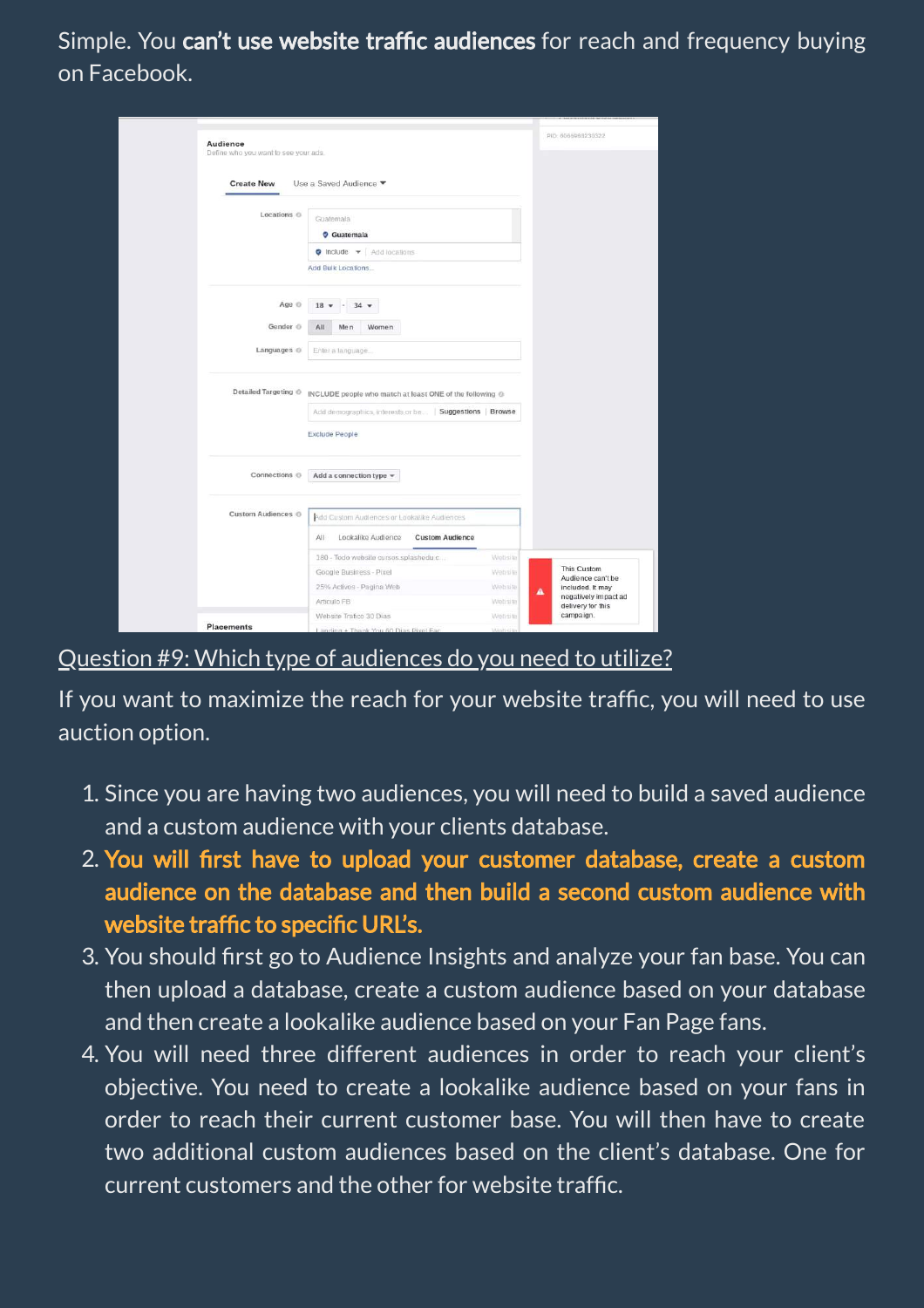Simple. You can't use website traffic audiences for reach and frequency buying on Facebook.

| Audience                             |                                                          |          |   | PID: 6005988230322                        |  |
|--------------------------------------|----------------------------------------------------------|----------|---|-------------------------------------------|--|
| Define who you want to see your ads. |                                                          |          |   |                                           |  |
|                                      |                                                          |          |   |                                           |  |
| <b>Create New</b>                    | Use a Saved Audience ▼                                   |          |   |                                           |  |
| Locations <sup>®</sup>               |                                                          |          |   |                                           |  |
|                                      | Guatemala                                                |          |   |                                           |  |
|                                      | Cuatemala                                                |          |   |                                           |  |
|                                      | $\bullet$ Include $\bullet$   Add locations              |          |   |                                           |  |
|                                      | Add Bulk Locations                                       |          |   |                                           |  |
|                                      |                                                          |          |   |                                           |  |
| Age <sup>®</sup>                     | $18 -$<br>$34 -$                                         |          |   |                                           |  |
| Gender @                             | All<br>Men<br>Women                                      |          |   |                                           |  |
|                                      |                                                          |          |   |                                           |  |
| Languages <sup>@</sup>               | Enter a language.                                        |          |   |                                           |  |
|                                      |                                                          |          |   |                                           |  |
| Detailed Targeting @                 | INCLUDE people who match at least ONE of the following @ |          |   |                                           |  |
|                                      | Add demographics, interests or be   Suggestions   Browse |          |   |                                           |  |
|                                      |                                                          |          |   |                                           |  |
|                                      | <b>Exclude People</b>                                    |          |   |                                           |  |
|                                      |                                                          |          |   |                                           |  |
| Connections <sup>®</sup>             | Add a connection type $\star$                            |          |   |                                           |  |
|                                      |                                                          |          |   |                                           |  |
| Custom Audiences ®                   |                                                          |          |   |                                           |  |
|                                      | Add Custom Audiences or Lookalike Audiences              |          |   |                                           |  |
|                                      | Lookalike Audience<br><b>Custom Audience</b><br>All      |          |   |                                           |  |
|                                      | 180 - Todo website cursos splashedu.c                    | Website  |   |                                           |  |
|                                      | Google Business - Pixel                                  | Website  |   | This Custom<br>Audience can't be          |  |
|                                      | 25% Activos - Pagina Web                                 | Website  | A | included. It may                          |  |
|                                      | Articulo FB                                              | Website  |   | negatively impact ad<br>delivery for this |  |
|                                      | Website Trafico 30 Dias                                  | Website  |   | campaign.                                 |  |
| <b>Placements</b>                    | Landing + Thank You 60 Dias Pixel Fac                    | Mishella |   |                                           |  |

#### Question #9: Which type of audiences do you need to utilize?

If you want to maximize the reach for your website traffic, you will need to use auction option.

- 1. Since you are having two audiences, you will need to build a saved audience and a custom audience with your clients database.
- 2. You will first have to upload your customer database, create a custom audience on the database and then build a second custom audience with website traffic to specific URL's.
- 3. You should first go to Audience Insights and analyze your fan base. You can then upload a database, create a custom audience based on your database and then create a lookalike audience based on your Fan Page fans.
- 4. You will need three different audiences in order to reach your client's objective. You need to create a lookalike audience based on your fans in order to reach their current customer base. You will then have to create two additional custom audiences based on the client's database. One for current customers and the other for website trafc.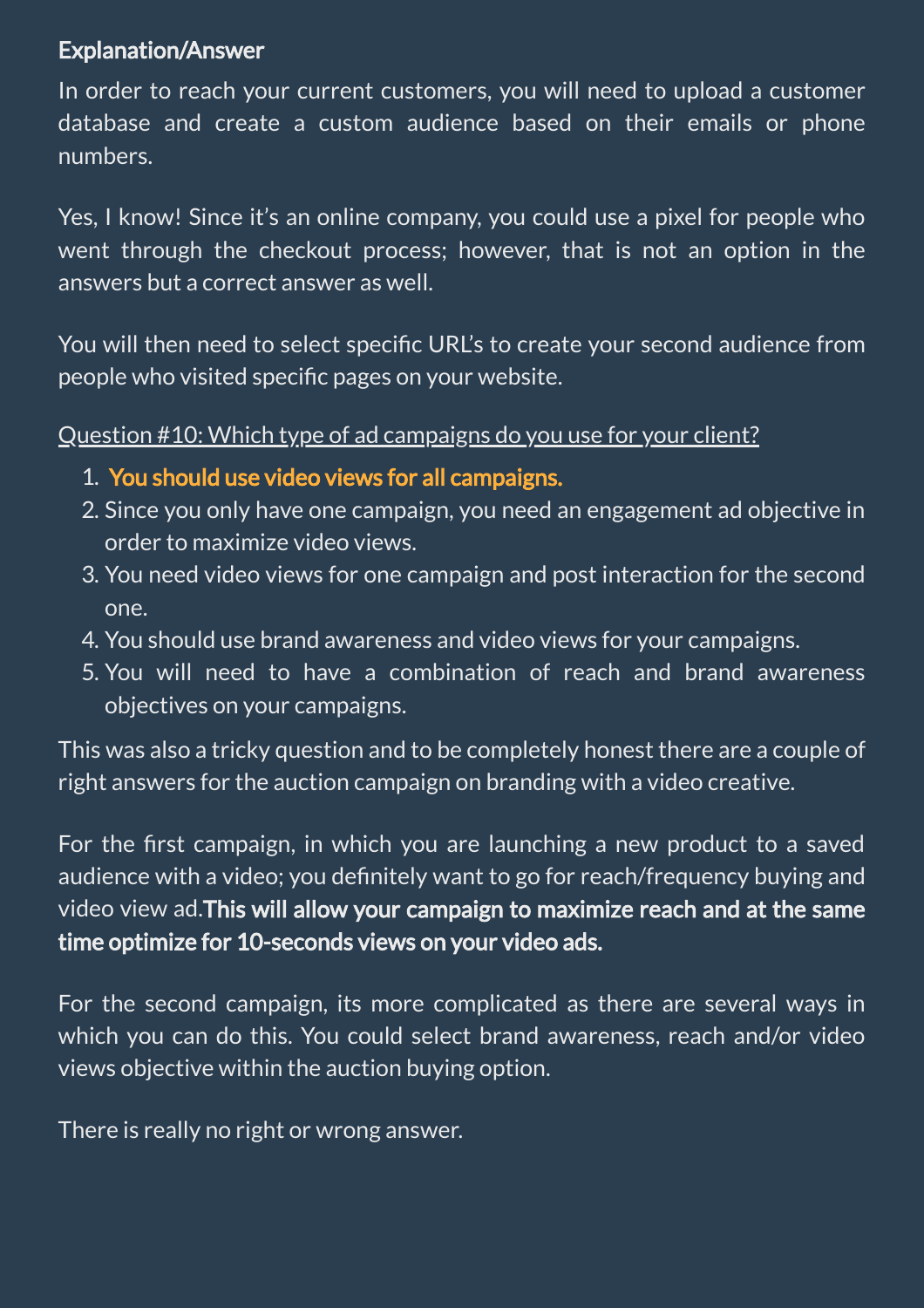#### Explanation/Answer

In order to reach your current customers, you will need to upload a customer database and create a custom audience based on their emails or phone numbers.

Yes, I know! Since it's an online company, you could use a pixel for people who went through the checkout process; however, that is not an option in the answers but a correct answer as well.

You will then need to select specific URL's to create your second audience from people who visited specific pages on your website.

Question #10: Which type of ad campaigns do you use for your client?

- 1. You should use video views for all campaigns.
- 2. Since you only have one campaign, you need an engagement ad objective in order to maximize video views.
- 3. You need video views for one campaign and post interaction for the second one.
- 4. You should use brand awareness and video views for your campaigns.
- 5. You will need to have a combination of reach and brand awareness objectives on your campaigns.

This was also a tricky question and to be completely honest there are a couple of right answers for the auction campaign on branding with a video creative.

For the first campaign, in which you are launching a new product to a saved audience with a video; you definitely want to go for reach/frequency buying and video view ad.This will allow your campaign to maximize reach and at the same time optimize for 10-seconds views on your video ads.

For the second campaign, its more complicated as there are several ways in which you can do this. You could select brand awareness, reach and/or video views objective within the auction buying option.

There is really no right or wrong answer.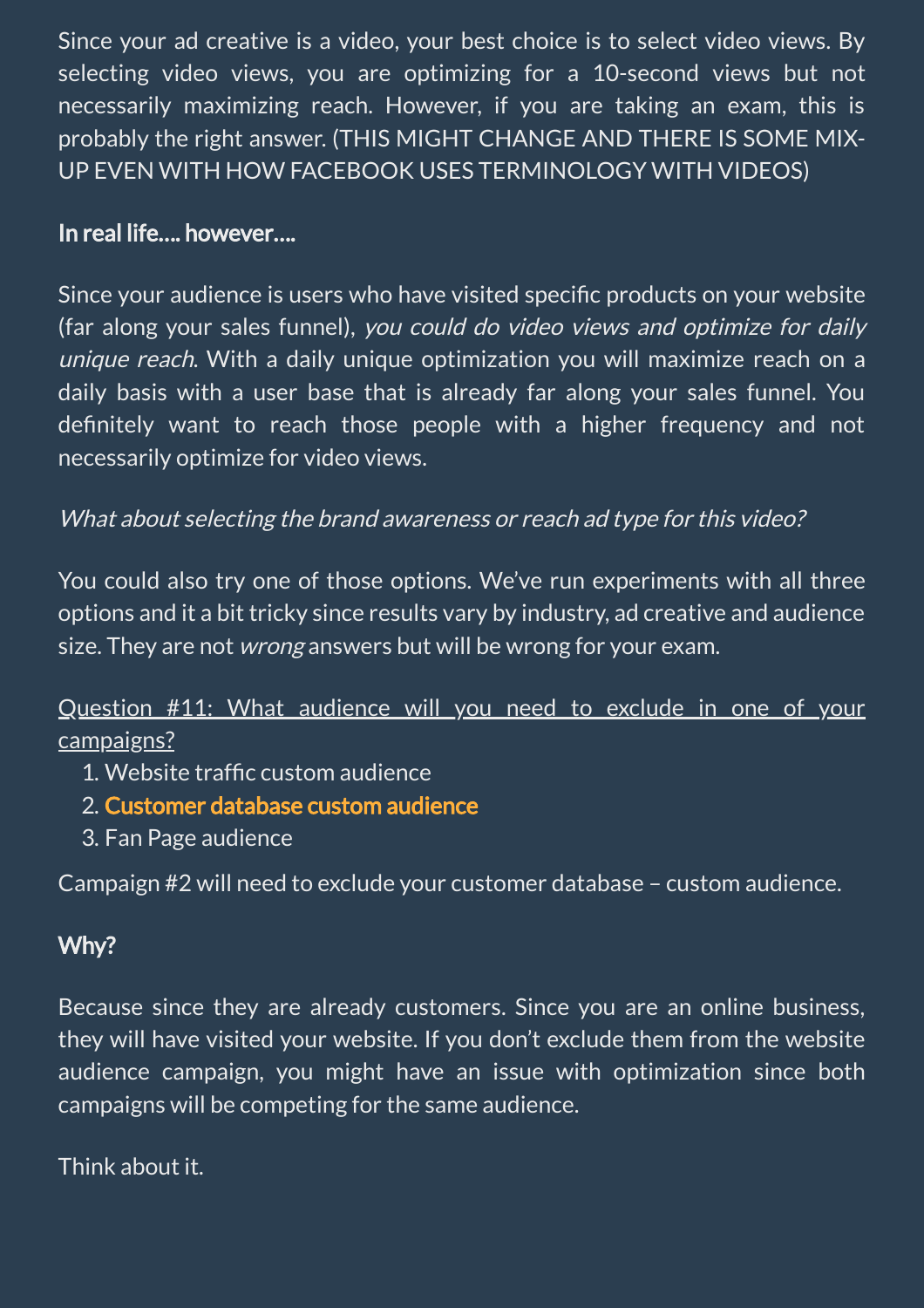Since your ad creative is a video, your best choice is to select video views. By selecting video views, you are optimizing for a 10-second views but not necessarily maximizing reach. However, if you are taking an exam, this is probably the right answer. (THIS MIGHT CHANGE AND THERE IS SOME MIX-UP EVEN WITH HOW FACEBOOK USES TERMINOLOGY WITH VIDEOS)

#### In real life…. however….

Since your audience is users who have visited specific products on your website (far along your sales funnel), you could do video views and optimize for daily unique reach. With a daily unique optimization you will maximize reach on a daily basis with a user base that is already far along your sales funnel. You definitely want to reach those people with a higher frequency and not necessarily optimize for video views.

#### What about selecting the brand awareness or reach ad type for this video?

You could also try one of those options. We've run experiments with all three options and it a bit tricky since results vary by industry, ad creative and audience size. They are not *wrong* answers but will be wrong for your exam.

#### Question #11: What audience will you need to exclude in one of your campaigns?

- 1. Website traffic custom audience
- 2. Customer database custom audience
- 3. Fan Page audience

Campaign #2 will need to exclude your customer database – custom audience.

#### Why?

Because since they are already customers. Since you are an online business, they will have visited your website. If you don't exclude them from the website audience campaign, you might have an issue with optimization since both campaigns will be competing for the same audience.

Think about it.